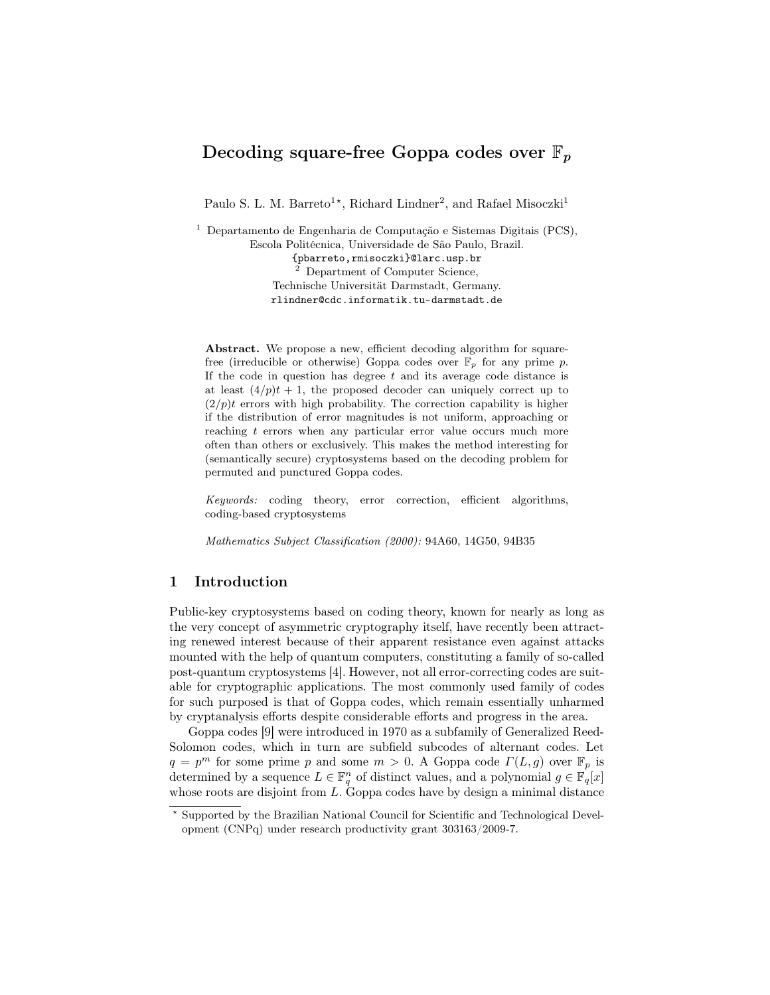# Decoding square-free Goppa codes over  $\mathbb{F}_p$

Paulo S. L. M. Barreto<sup>1\*</sup>, Richard Lindner<sup>2</sup>, and Rafael Misoczki<sup>1</sup>

<sup>1</sup> Departamento de Engenharia de Computação e Sistemas Digitais (PCS), Escola Politécnica, Universidade de São Paulo, Brazil. {pbarreto,rmisoczki}@larc.usp.br <sup>2</sup> Department of Computer Science, Technische Universität Darmstadt, Germany. rlindner@cdc.informatik.tu-darmstadt.de

Abstract. We propose a new, efficient decoding algorithm for squarefree (irreducible or otherwise) Goppa codes over  $\mathbb{F}_p$  for any prime p. If the code in question has degree  $t$  and its average code distance is at least  $(4/p)t + 1$ , the proposed decoder can uniquely correct up to  $(2/p)t$  errors with high probability. The correction capability is higher if the distribution of error magnitudes is not uniform, approaching or reaching t errors when any particular error value occurs much more often than others or exclusively. This makes the method interesting for (semantically secure) cryptosystems based on the decoding problem for permuted and punctured Goppa codes.

Keywords: coding theory, error correction, efficient algorithms, coding-based cryptosystems

Mathematics Subject Classification (2000): 94A60, 14G50, 94B35

# 1 Introduction

Public-key cryptosystems based on coding theory, known for nearly as long as the very concept of asymmetric cryptography itself, have recently been attracting renewed interest because of their apparent resistance even against attacks mounted with the help of quantum computers, constituting a family of so-called post-quantum cryptosystems [4]. However, not all error-correcting codes are suitable for cryptographic applications. The most commonly used family of codes for such purposed is that of Goppa codes, which remain essentially unharmed by cryptanalysis efforts despite considerable efforts and progress in the area.

Goppa codes [9] were introduced in 1970 as a subfamily of Generalized Reed-Solomon codes, which in turn are subfield subcodes of alternant codes. Let  $q = p^m$  for some prime p and some  $m > 0$ . A Goppa code  $\Gamma(L, g)$  over  $\mathbb{F}_p$  is determined by a sequence  $L \in \mathbb{F}_q^n$  of distinct values, and a polynomial  $g \in \mathbb{F}_q[x]$ whose roots are disjoint from  $L$ . Goppa codes have by design a minimal distance

<sup>?</sup> Supported by the Brazilian National Council for Scientific and Technological Development (CNPq) under research productivity grant 303163/2009-7.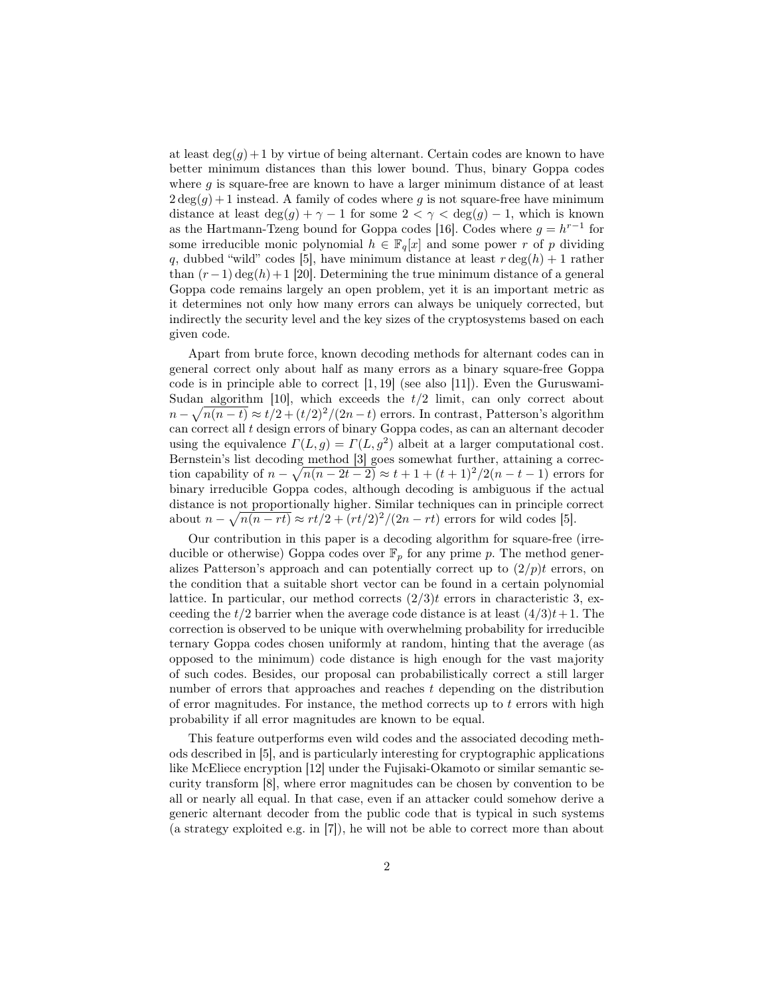at least  $deg(g) + 1$  by virtue of being alternant. Certain codes are known to have better minimum distances than this lower bound. Thus, binary Goppa codes where  $g$  is square-free are known to have a larger minimum distance of at least  $2 \deg(g) + 1$  instead. A family of codes where g is not square-free have minimum distance at least  $\deg(g) + \gamma - 1$  for some  $2 < \gamma < \deg(g) - 1$ , which is known as the Hartmann-Tzeng bound for Goppa codes [16]. Codes where  $g = h^{r-1}$  for some irreducible monic polynomial  $h \in \mathbb{F}_q[x]$  and some power r of p dividing q, dubbed "wild" codes [5], have minimum distance at least  $r \deg(h) + 1$  rather than  $(r-1) \deg(h) + 1$  [20]. Determining the true minimum distance of a general Goppa code remains largely an open problem, yet it is an important metric as it determines not only how many errors can always be uniquely corrected, but indirectly the security level and the key sizes of the cryptosystems based on each given code.

Apart from brute force, known decoding methods for alternant codes can in general correct only about half as many errors as a binary square-free Goppa code is in principle able to correct  $[1, 19]$  (see also [11]). Even the Guruswami-Sudan algorithm [10], which exceeds the  $t/2$  limit, can only correct about  $n - \sqrt{n(n-t)} \approx t/2 + (t/2)^2/(2n-t)$  errors. In contrast, Patterson's algorithm can correct all t design errors of binary Goppa codes, as can an alternant decoder using the equivalence  $\Gamma(L, g) = \Gamma(L, g^2)$  albeit at a larger computational cost. Bernstein's list decoding method [3] goes somewhat further, attaining a correction capability of  $n - \sqrt{n(n-2t-2)} \approx t+1+(t+1)^2/2(n-t-1)$  errors for binary irreducible Goppa codes, although decoding is ambiguous if the actual distance is not proportionally higher. Similar techniques can in principle correct about  $n - \sqrt{n(n - rt)} \approx rt/2 + (rt/2)^2/(2n - rt)$  errors for wild codes [5].

Our contribution in this paper is a decoding algorithm for square-free (irreducible or otherwise) Goppa codes over  $\mathbb{F}_p$  for any prime p. The method generalizes Patterson's approach and can potentially correct up to  $(2/p)t$  errors, on the condition that a suitable short vector can be found in a certain polynomial lattice. In particular, our method corrects  $(2/3)t$  errors in characteristic 3, exceeding the  $t/2$  barrier when the average code distance is at least  $(4/3)t+1$ . The correction is observed to be unique with overwhelming probability for irreducible ternary Goppa codes chosen uniformly at random, hinting that the average (as opposed to the minimum) code distance is high enough for the vast majority of such codes. Besides, our proposal can probabilistically correct a still larger number of errors that approaches and reaches t depending on the distribution of error magnitudes. For instance, the method corrects up to  $t$  errors with high probability if all error magnitudes are known to be equal.

This feature outperforms even wild codes and the associated decoding methods described in [5], and is particularly interesting for cryptographic applications like McEliece encryption [12] under the Fujisaki-Okamoto or similar semantic security transform [8], where error magnitudes can be chosen by convention to be all or nearly all equal. In that case, even if an attacker could somehow derive a generic alternant decoder from the public code that is typical in such systems (a strategy exploited e.g. in [7]), he will not be able to correct more than about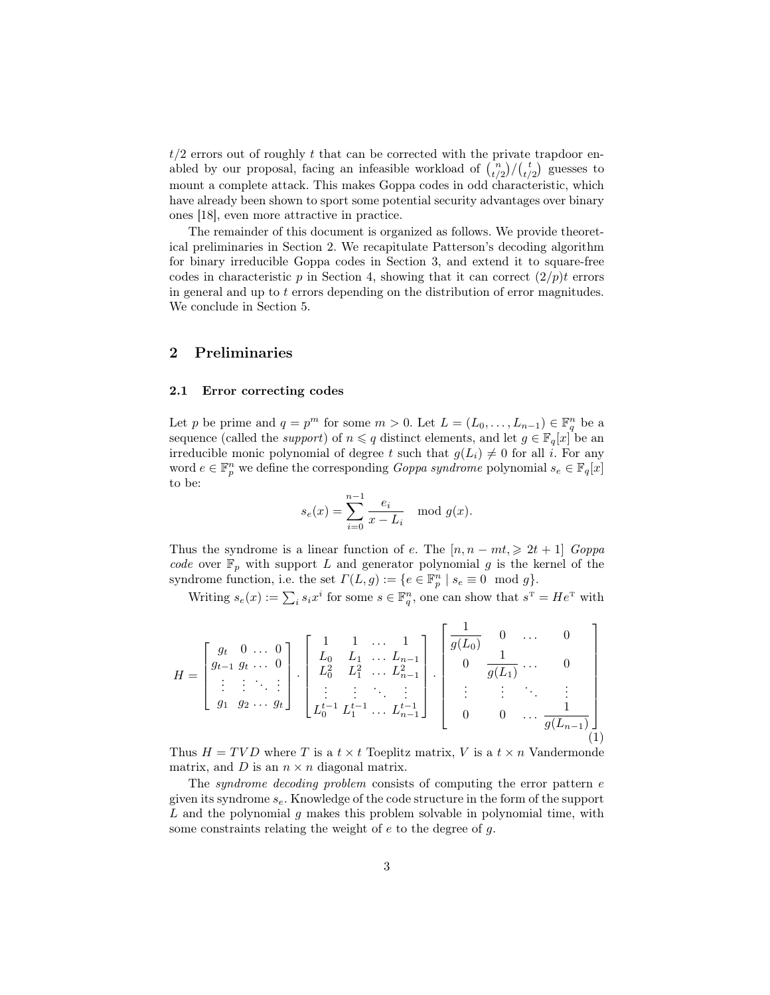$t/2$  errors out of roughly t that can be corrected with the private trapdoor enabled by our proposal, facing an infeasible workload of  $\binom{n}{t/2}/\binom{t}{t/2}$  guesses to mount a complete attack. This makes Goppa codes in odd characteristic, which have already been shown to sport some potential security advantages over binary ones [18], even more attractive in practice.

The remainder of this document is organized as follows. We provide theoretical preliminaries in Section 2. We recapitulate Patterson's decoding algorithm for binary irreducible Goppa codes in Section 3, and extend it to square-free codes in characteristic p in Section 4, showing that it can correct  $(2/p)t$  errors in general and up to  $t$  errors depending on the distribution of error magnitudes. We conclude in Section 5.

# 2 Preliminaries

#### 2.1 Error correcting codes

Let p be prime and  $q = p^m$  for some  $m > 0$ . Let  $L = (L_0, \ldots, L_{n-1}) \in \mathbb{F}_q^n$  be a sequence (called the *support*) of  $n \leq q$  distinct elements, and let  $g \in \mathbb{F}_q[x]$  be an irreducible monic polynomial of degree t such that  $g(L_i) \neq 0$  for all i. For any word  $e \in \mathbb{F}_p^n$  we define the corresponding *Goppa syndrome* polynomial  $s_e \in \mathbb{F}_q[x]$ to be:

$$
s_e(x) = \sum_{i=0}^{n-1} \frac{e_i}{x - L_i} \mod g(x).
$$

Thus the syndrome is a linear function of e. The  $[n, n - mt] \geq 2t + 1$  Goppa code over  $\mathbb{F}_p$  with support L and generator polynomial g is the kernel of the syndrome function, i.e. the set  $\Gamma(L, g) := \{e \in \mathbb{F}_p^n \mid s_e \equiv 0 \mod g\}.$ 

Writing  $s_e(x) := \sum_i s_i x^i$  for some  $s \in \mathbb{F}_q^n$ , one can show that  $s^{\text{T}} = He^{\text{T}}$  with

$$
H = \begin{bmatrix} g_t & 0 & \dots & 0 \\ g_{t-1} & g_t & \dots & 0 \\ \vdots & \vdots & \ddots & \vdots \\ g_1 & g_2 & \dots & g_t \end{bmatrix} \cdot \begin{bmatrix} 1 & 1 & \dots & 1 \\ L_0 & L_1 & \dots & L_{n-1} \\ L_0^2 & L_1^2 & \dots & L_{n-1}^2 \\ \vdots & \vdots & \ddots & \vdots \\ L_0^{t-1} & L_1^{t-1} & \dots & L_{n-1}^{t-1} \end{bmatrix} \cdot \begin{bmatrix} \frac{1}{g(L_0)} & 0 & \dots & 0 \\ 0 & \frac{1}{g(L_1)} & \dots & 0 \\ \vdots & \vdots & \ddots & \vdots \\ 0 & 0 & \dots & \frac{1}{g(L_{n-1})} \end{bmatrix}
$$
(1)

Thus  $H = TVD$  where T is a  $t \times t$  Toeplitz matrix, V is a  $t \times n$  Vandermonde matrix, and  $D$  is an  $n \times n$  diagonal matrix.

The *syndrome decoding problem* consists of computing the error pattern e given its syndrome  $s_e$ . Knowledge of the code structure in the form of the support  $L$  and the polynomial  $g$  makes this problem solvable in polynomial time, with some constraints relating the weight of  $e$  to the degree of  $g$ .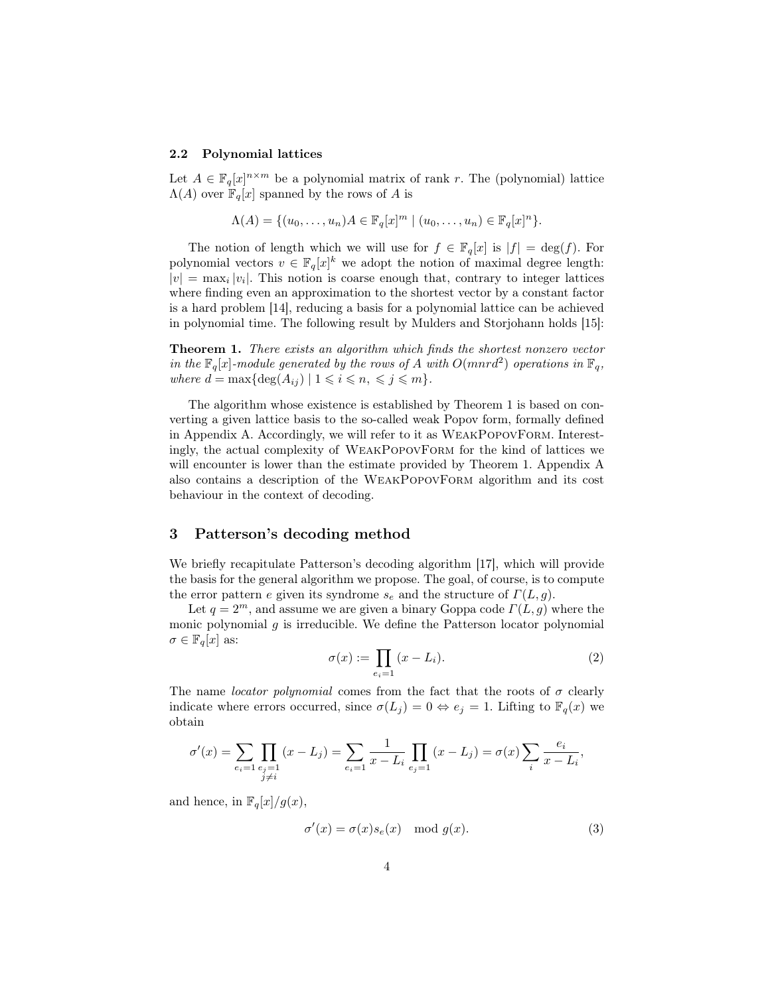#### 2.2 Polynomial lattices

Let  $A \in \mathbb{F}_q[x]^{n \times m}$  be a polynomial matrix of rank r. The (polynomial) lattice  $\Lambda(A)$  over  $\mathbb{F}_q[x]$  spanned by the rows of A is

$$
\Lambda(A) = \{ (u_0, \ldots, u_n)A \in \mathbb{F}_q[x]^m \mid (u_0, \ldots, u_n) \in \mathbb{F}_q[x]^n \}.
$$

The notion of length which we will use for  $f \in \mathbb{F}_q[x]$  is  $|f| = \deg(f)$ . For polynomial vectors  $v \in \mathbb{F}_q[x]^k$  we adopt the notion of maximal degree length:  $|v| = \max_i |v_i|$ . This notion is coarse enough that, contrary to integer lattices where finding even an approximation to the shortest vector by a constant factor is a hard problem [14], reducing a basis for a polynomial lattice can be achieved in polynomial time. The following result by Mulders and Storjohann holds [15]:

Theorem 1. There exists an algorithm which finds the shortest nonzero vector in the  $\mathbb{F}_q[x]$ -module generated by the rows of A with  $O(mnrd^2)$  operations in  $\mathbb{F}_q$ , where  $d = \max\{\deg(A_{ij}) \mid 1 \leq i \leq n, \leq j \leq m\}.$ 

The algorithm whose existence is established by Theorem 1 is based on converting a given lattice basis to the so-called weak Popov form, formally defined in Appendix A. Accordingly, we will refer to it as WeakPopovForm. Interestingly, the actual complexity of WeakPopovForm for the kind of lattices we will encounter is lower than the estimate provided by Theorem 1. Appendix A also contains a description of the WeakPopovForm algorithm and its cost behaviour in the context of decoding.

# 3 Patterson's decoding method

We briefly recapitulate Patterson's decoding algorithm [17], which will provide the basis for the general algorithm we propose. The goal, of course, is to compute the error pattern e given its syndrome  $s_e$  and the structure of  $\Gamma(L, g)$ .

Let  $q = 2^m$ , and assume we are given a binary Goppa code  $\Gamma(L, q)$  where the monic polynomial  $g$  is irreducible. We define the Patterson locator polynomial  $\sigma \in \mathbb{F}_q[x]$  as:

$$
\sigma(x) := \prod_{e_i=1} (x - L_i). \tag{2}
$$

The name *locator polynomial* comes from the fact that the roots of  $\sigma$  clearly indicate where errors occurred, since  $\sigma(L_i) = 0 \Leftrightarrow e_i = 1$ . Lifting to  $\mathbb{F}_q(x)$  we obtain

$$
\sigma'(x) = \sum_{e_i=1} \prod_{\substack{e_j=1 \ j \neq i}} (x - L_j) = \sum_{e_i=1} \frac{1}{x - L_i} \prod_{e_j=1} (x - L_j) = \sigma(x) \sum_i \frac{e_i}{x - L_i},
$$

and hence, in  $\mathbb{F}_q[x]/g(x)$ ,

$$
\sigma'(x) = \sigma(x)s_e(x) \mod g(x). \tag{3}
$$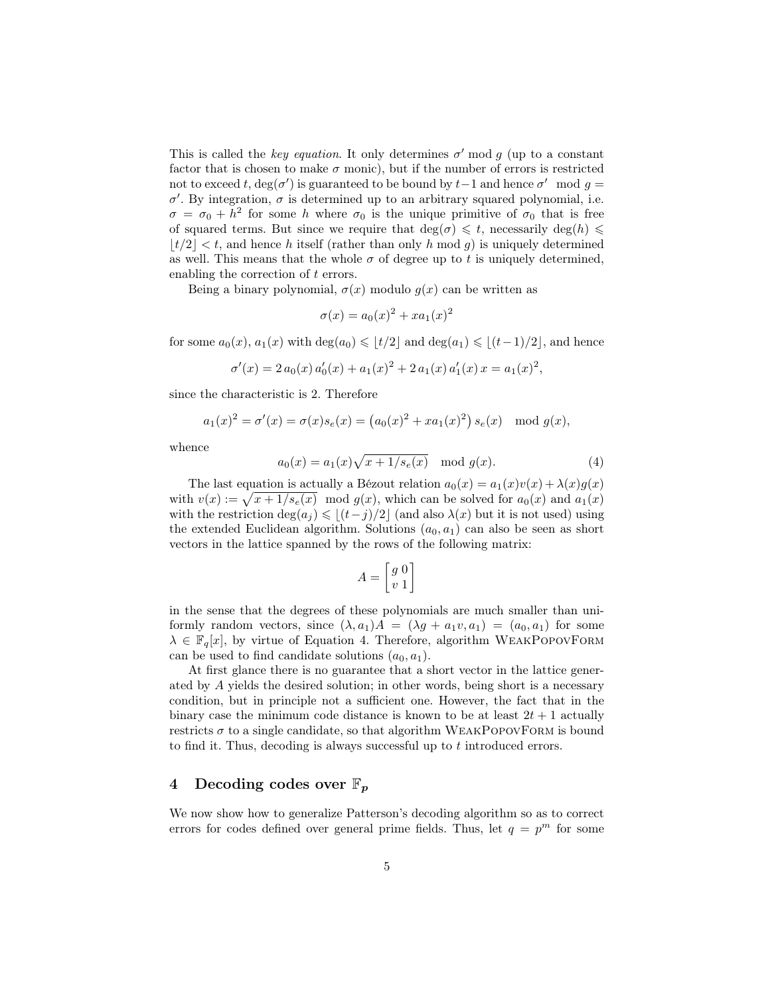This is called the key equation. It only determines  $\sigma'$  mod g (up to a constant factor that is chosen to make  $\sigma$  monic), but if the number of errors is restricted not to exceed t, deg( $\sigma'$ ) is guaranteed to be bound by t-1 and hence  $\sigma'$  mod  $g =$  $\sigma'$ . By integration,  $\sigma$  is determined up to an arbitrary squared polynomial, i.e.  $\sigma = \sigma_0 + h^2$  for some h where  $\sigma_0$  is the unique primitive of  $\sigma_0$  that is free of squared terms. But since we require that  $deg(\sigma) \leq t$ , necessarily  $deg(h) \leq$  $|t/2| < t$ , and hence h itself (rather than only h mod g) is uniquely determined as well. This means that the whole  $\sigma$  of degree up to t is uniquely determined, enabling the correction of t errors.

Being a binary polynomial,  $\sigma(x)$  modulo  $g(x)$  can be written as

$$
\sigma(x) = a_0(x)^2 + x a_1(x)^2
$$

for some  $a_0(x)$ ,  $a_1(x)$  with  $\deg(a_0) \leq t/2$  and  $\deg(a_1) \leq t/2$ , and hence

$$
\sigma'(x) = 2 a_0(x) a'_0(x) + a_1(x)^2 + 2 a_1(x) a'_1(x) x = a_1(x)^2,
$$

since the characteristic is 2. Therefore

$$
a_1(x)^2 = \sigma'(x) = \sigma(x)s_e(x) = (a_0(x)^2 + xa_1(x)^2)s_e(x) \mod g(x),
$$

whence

$$
a_0(x) = a_1(x)\sqrt{x+1/s_e(x)} \mod g(x).
$$
 (4)

The last equation is actually a Bézout relation  $a_0(x) = a_1(x)v(x) + \lambda(x)g(x)$ with  $v(x) := \sqrt{x + 1/s_e(x)} \mod g(x)$ , which can be solved for  $a_0(x)$  and  $a_1(x)$ with the restriction deg( $a_j$ )  $\leq$  [ $(t-j)/2$ ] (and also  $\lambda(x)$  but it is not used) using the extended Euclidean algorithm. Solutions  $(a_0, a_1)$  can also be seen as short vectors in the lattice spanned by the rows of the following matrix:

$$
A = \begin{bmatrix} g & 0 \\ v & 1 \end{bmatrix}
$$

in the sense that the degrees of these polynomials are much smaller than uniformly random vectors, since  $(\lambda, a_1)A = (\lambda g + a_1v, a_1) = (a_0, a_1)$  for some  $\lambda \in \mathbb{F}_{q}[x]$ , by virtue of Equation 4. Therefore, algorithm WEAKPOPOVFORM can be used to find candidate solutions  $(a_0, a_1)$ .

At first glance there is no guarantee that a short vector in the lattice generated by A yields the desired solution; in other words, being short is a necessary condition, but in principle not a sufficient one. However, the fact that in the binary case the minimum code distance is known to be at least  $2t + 1$  actually restricts  $\sigma$  to a single candidate, so that algorithm WEAKPOPOVFORM is bound to find it. Thus, decoding is always successful up to t introduced errors.

# 4 Decoding codes over  $\mathbb{F}_n$

We now show how to generalize Patterson's decoding algorithm so as to correct errors for codes defined over general prime fields. Thus, let  $q = p<sup>m</sup>$  for some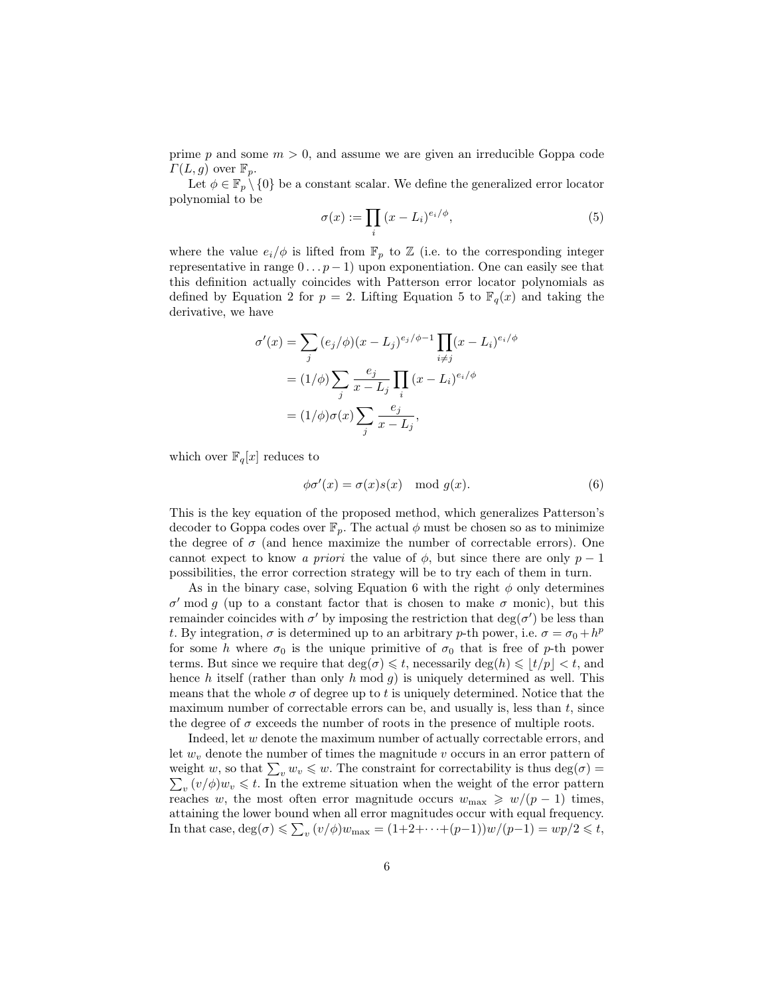prime p and some  $m > 0$ , and assume we are given an irreducible Goppa code  $\Gamma(L, g)$  over  $\mathbb{F}_p$ .

Let  $\phi \in \mathbb{F}_p \setminus \{0\}$  be a constant scalar. We define the generalized error locator polynomial to be

$$
\sigma(x) := \prod_{i} (x - L_i)^{e_i/\phi},\tag{5}
$$

where the value  $e_i/\phi$  is lifted from  $\mathbb{F}_p$  to  $\mathbb Z$  (i.e. to the corresponding integer representative in range  $0 \dots p-1$ ) upon exponentiation. One can easily see that this definition actually coincides with Patterson error locator polynomials as defined by Equation 2 for  $p = 2$ . Lifting Equation 5 to  $\mathbb{F}_q(x)$  and taking the derivative, we have

$$
\sigma'(x) = \sum_{j} (e_j/\phi)(x - L_j)^{e_j/\phi - 1} \prod_{i \neq j} (x - L_i)^{e_i/\phi}
$$

$$
= (1/\phi) \sum_{j} \frac{e_j}{x - L_j} \prod_{i} (x - L_i)^{e_i/\phi}
$$

$$
= (1/\phi)\sigma(x) \sum_{j} \frac{e_j}{x - L_j},
$$

which over  $\mathbb{F}_q[x]$  reduces to

$$
\phi \sigma'(x) = \sigma(x)s(x) \mod g(x). \tag{6}
$$

This is the key equation of the proposed method, which generalizes Patterson's decoder to Goppa codes over  $\mathbb{F}_p$ . The actual  $\phi$  must be chosen so as to minimize the degree of  $\sigma$  (and hence maximize the number of correctable errors). One cannot expect to know a priori the value of  $\phi$ , but since there are only  $p-1$ possibilities, the error correction strategy will be to try each of them in turn.

As in the binary case, solving Equation 6 with the right  $\phi$  only determines  $\sigma'$  mod g (up to a constant factor that is chosen to make  $\sigma$  monic), but this remainder coincides with  $\sigma'$  by imposing the restriction that  $deg(\sigma')$  be less than t. By integration,  $\sigma$  is determined up to an arbitrary p-th power, i.e.  $\sigma = \sigma_0 + h^p$ for some h where  $\sigma_0$  is the unique primitive of  $\sigma_0$  that is free of p-th power terms. But since we require that  $deg(\sigma) \leq t$ , necessarily  $deg(h) \leq |t/p| < t$ , and hence  $h$  itself (rather than only  $h \mod g$ ) is uniquely determined as well. This means that the whole  $\sigma$  of degree up to t is uniquely determined. Notice that the maximum number of correctable errors can be, and usually is, less than  $t$ , since the degree of  $\sigma$  exceeds the number of roots in the presence of multiple roots.

Indeed, let w denote the maximum number of actually correctable errors, and let  $w<sub>v</sub>$  denote the number of times the magnitude v occurs in an error pattern of weight w, so that  $\sum_v w_v \leq w$ . The constraint for correctability is thus deg( $\sigma$ ) =  $\sum_v (v/\phi)w_v \leq t$ . In the extreme situation when the weight of the error pattern  $v_v(v/\phi)w_v \leq t$ . In the extreme situation when the weight of the error pattern reaches w, the most often error magnitude occurs  $w_{\text{max}} \geq w/(p-1)$  times, attaining the lower bound when all error magnitudes occur with equal frequency. In that case,  $deg(\sigma) \leq \sum_{v} (v/\phi)w_{\text{max}} = (1+2+\cdots+(p-1))w/(p-1) = wp/2 \leq t$ ,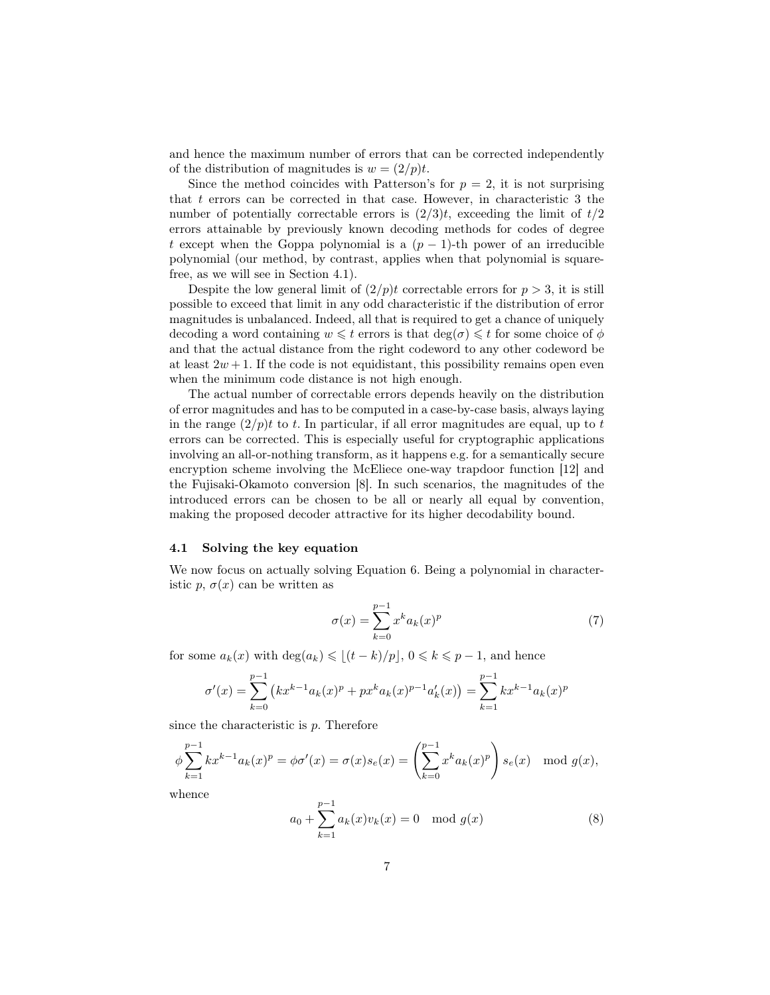and hence the maximum number of errors that can be corrected independently of the distribution of magnitudes is  $w = (2/p)t$ .

Since the method coincides with Patterson's for  $p = 2$ , it is not surprising that  $t$  errors can be corrected in that case. However, in characteristic  $3$  the number of potentially correctable errors is  $(2/3)t$ , exceeding the limit of  $t/2$ errors attainable by previously known decoding methods for codes of degree t except when the Goppa polynomial is a  $(p-1)$ -th power of an irreducible polynomial (our method, by contrast, applies when that polynomial is squarefree, as we will see in Section 4.1).

Despite the low general limit of  $(2/p)t$  correctable errors for  $p > 3$ , it is still possible to exceed that limit in any odd characteristic if the distribution of error magnitudes is unbalanced. Indeed, all that is required to get a chance of uniquely decoding a word containing  $w \leq t$  errors is that  $deg(\sigma) \leq t$  for some choice of  $\phi$ and that the actual distance from the right codeword to any other codeword be at least  $2w + 1$ . If the code is not equidistant, this possibility remains open even when the minimum code distance is not high enough.

The actual number of correctable errors depends heavily on the distribution of error magnitudes and has to be computed in a case-by-case basis, always laying in the range  $(2/p)t$  to t. In particular, if all error magnitudes are equal, up to t errors can be corrected. This is especially useful for cryptographic applications involving an all-or-nothing transform, as it happens e.g. for a semantically secure encryption scheme involving the McEliece one-way trapdoor function [12] and the Fujisaki-Okamoto conversion [8]. In such scenarios, the magnitudes of the introduced errors can be chosen to be all or nearly all equal by convention, making the proposed decoder attractive for its higher decodability bound.

#### 4.1 Solving the key equation

We now focus on actually solving Equation 6. Being a polynomial in characteristic p,  $\sigma(x)$  can be written as

$$
\sigma(x) = \sum_{k=0}^{p-1} x^k a_k(x)^p \tag{7}
$$

for some  $a_k(x)$  with  $\deg(a_k) \leq (t - k)/p, 0 \leq k \leq p - 1$ , and hence

$$
\sigma'(x) = \sum_{k=0}^{p-1} (kx^{k-1}a_k(x)^p + px^k a_k(x)^{p-1}a'_k(x)) = \sum_{k=1}^{p-1} kx^{k-1}a_k(x)^p
$$

since the characteristic is  $p$ . Therefore

$$
\phi \sum_{k=1}^{p-1} k x^{k-1} a_k(x)^p = \phi \sigma'(x) = \sigma(x) s_e(x) = \left( \sum_{k=0}^{p-1} x^k a_k(x)^p \right) s_e(x) \mod g(x),
$$

whence

$$
a_0 + \sum_{k=1}^{p-1} a_k(x)v_k(x) = 0 \mod g(x)
$$
 (8)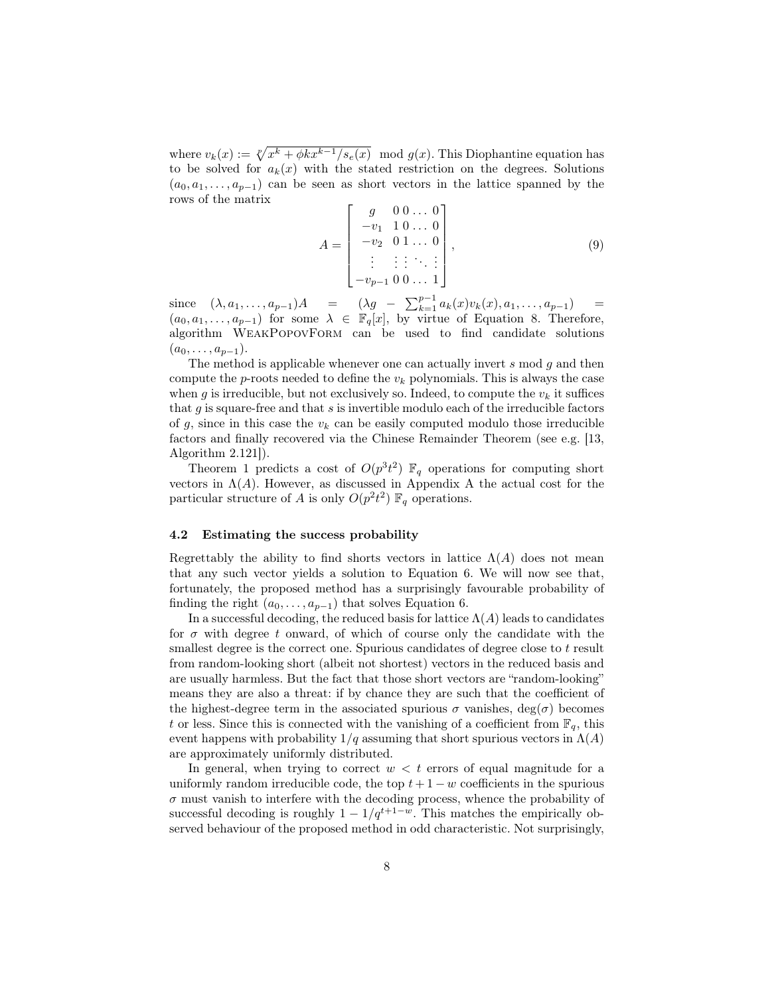where  $v_k(x) := \sqrt[p]{x^k + \phi k x^{k-1}/s_e(x)} \mod g(x)$ . This Diophantine equation has to be solved for  $a_k(x)$  with the stated restriction on the degrees. Solutions  $(a_0, a_1, \ldots, a_{p-1})$  can be seen as short vectors in the lattice spanned by the rows of the matrix

$$
A = \begin{bmatrix} g & 0 & 0 & \dots & 0 \\ -v_1 & 1 & 0 & \dots & 0 \\ -v_2 & 0 & 1 & \dots & 0 \\ \vdots & \vdots & \vdots & \ddots & \vdots \\ -v_{p-1} & 0 & 0 & \dots & 1 \end{bmatrix},
$$
(9)

since  $(\lambda, a_1, \ldots, a_{p-1})A = (\lambda g - \sum_{k=1}^{p-1} a_k(x)v_k(x), a_1, \ldots, a_{p-1}) =$  $(a_0, a_1, \ldots, a_{p-1})$  for some  $\lambda \in \mathbb{F}_q[x]$ , by virtue of Equation 8. Therefore, algorithm WeakPopovForm can be used to find candidate solutions  $(a_0, \ldots, a_{p-1}).$ 

The method is applicable whenever one can actually invert  $s \mod g$  and then compute the  $p$ -roots needed to define the  $v_k$  polynomials. This is always the case when g is irreducible, but not exclusively so. Indeed, to compute the  $v_k$  it suffices that  $g$  is square-free and that  $s$  is invertible modulo each of the irreducible factors of g, since in this case the  $v_k$  can be easily computed modulo those irreducible factors and finally recovered via the Chinese Remainder Theorem (see e.g. [13, Algorithm 2.121]).

Theorem 1 predicts a cost of  $O(p^3 t^2)$   $\mathbb{F}_q$  operations for computing short vectors in  $\Lambda(A)$ . However, as discussed in Appendix A the actual cost for the particular structure of A is only  $O(p^2 t^2) \mathbb{F}_q$  operations.

#### 4.2 Estimating the success probability

Regrettably the ability to find shorts vectors in lattice  $\Lambda(A)$  does not mean that any such vector yields a solution to Equation 6. We will now see that, fortunately, the proposed method has a surprisingly favourable probability of finding the right  $(a_0, \ldots, a_{p-1})$  that solves Equation 6.

In a successful decoding, the reduced basis for lattice  $\Lambda(A)$  leads to candidates for  $\sigma$  with degree t onward, of which of course only the candidate with the smallest degree is the correct one. Spurious candidates of degree close to t result from random-looking short (albeit not shortest) vectors in the reduced basis and are usually harmless. But the fact that those short vectors are "random-looking" means they are also a threat: if by chance they are such that the coefficient of the highest-degree term in the associated spurious  $\sigma$  vanishes, deg( $\sigma$ ) becomes t or less. Since this is connected with the vanishing of a coefficient from  $\mathbb{F}_q$ , this event happens with probability  $1/q$  assuming that short spurious vectors in  $\Lambda(A)$ are approximately uniformly distributed.

In general, when trying to correct  $w < t$  errors of equal magnitude for a uniformly random irreducible code, the top  $t + 1 - w$  coefficients in the spurious  $\sigma$  must vanish to interfere with the decoding process, whence the probability of successful decoding is roughly  $1 - 1/q^{t+1-w}$ . This matches the empirically observed behaviour of the proposed method in odd characteristic. Not surprisingly,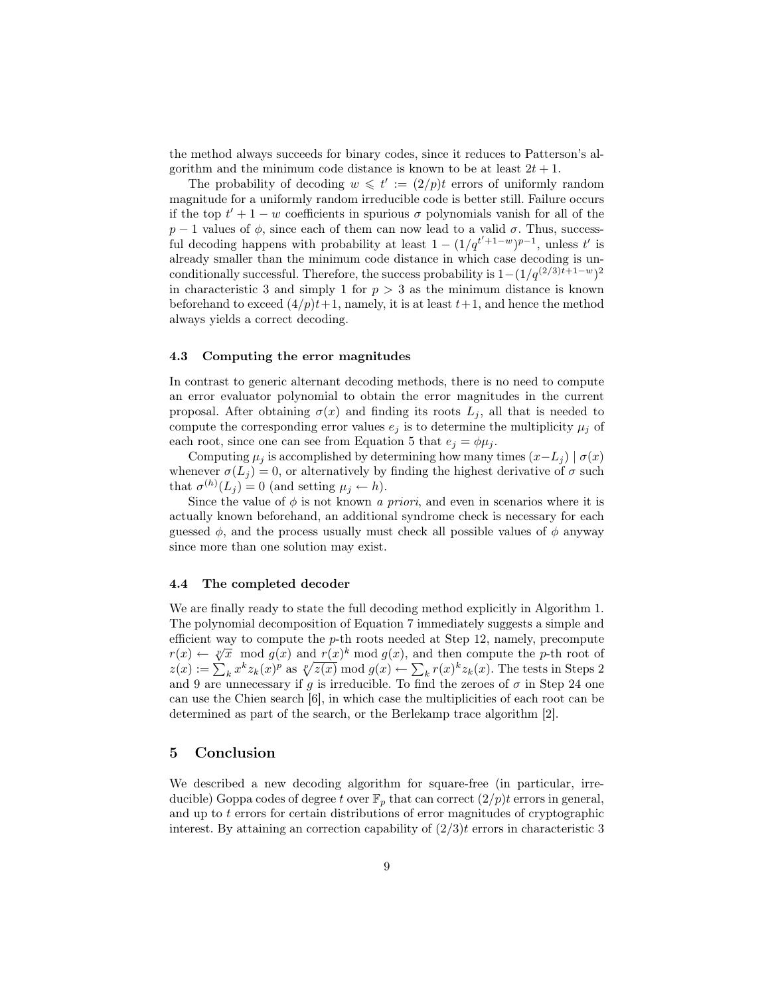the method always succeeds for binary codes, since it reduces to Patterson's algorithm and the minimum code distance is known to be at least  $2t + 1$ .

The probability of decoding  $w \leq t' := (2/p)t$  errors of uniformly random magnitude for a uniformly random irreducible code is better still. Failure occurs if the top  $t' + 1 - w$  coefficients in spurious  $\sigma$  polynomials vanish for all of the  $p-1$  values of  $\phi$ , since each of them can now lead to a valid  $\sigma$ . Thus, successful decoding happens with probability at least  $1 - (1/q^{t'+1-w})^{p-1}$ , unless t' is already smaller than the minimum code distance in which case decoding is unconditionally successful. Therefore, the success probability is  $1-(1/q^{(2/3)t+1-w})^2$ in characteristic 3 and simply 1 for  $p > 3$  as the minimum distance is known beforehand to exceed  $(4/p)t+1$ , namely, it is at least  $t+1$ , and hence the method always yields a correct decoding.

#### 4.3 Computing the error magnitudes

In contrast to generic alternant decoding methods, there is no need to compute an error evaluator polynomial to obtain the error magnitudes in the current proposal. After obtaining  $\sigma(x)$  and finding its roots  $L_j$ , all that is needed to compute the corresponding error values  $e_j$  is to determine the multiplicity  $\mu_j$  of each root, since one can see from Equation 5 that  $e_j = \phi \mu_j$ .

Computing  $\mu_j$  is accomplished by determining how many times  $(x-L_j) | \sigma(x)$ whenever  $\sigma(L_j) = 0$ , or alternatively by finding the highest derivative of  $\sigma$  such that  $\sigma^{(h)}(L_j) = 0$  (and setting  $\mu_j \leftarrow h$ ).

Since the value of  $\phi$  is not known a *priori*, and even in scenarios where it is actually known beforehand, an additional syndrome check is necessary for each guessed  $\phi$ , and the process usually must check all possible values of  $\phi$  anyway since more than one solution may exist.

#### 4.4 The completed decoder

We are finally ready to state the full decoding method explicitly in Algorithm 1. The polynomial decomposition of Equation 7 immediately suggests a simple and efficient way to compute the p-th roots needed at Step 12, namely, precompute emetent way to compute the p-th roots needed at step 12, namely, precompute  $r(x) \leftarrow \sqrt[p]{x} \mod g(x)$  and  $r(x)^k \mod g(x)$ , and then compute the p-th root of  $z(x) := \sum_k x^k z_k(x)^p$  as  $\sqrt[p]{z(x)} \mod g(x) \leftarrow \sum_k r(x)^k z_k(x)$ . The tests in Steps 2 and 9 are unnecessary if g is irreducible. To find the zeroes of  $\sigma$  in Step 24 one can use the Chien search [6], in which case the multiplicities of each root can be determined as part of the search, or the Berlekamp trace algorithm [2].

# 5 Conclusion

We described a new decoding algorithm for square-free (in particular, irreducible) Goppa codes of degree t over  $\mathbb{F}_p$  that can correct  $(2/p)t$  errors in general, and up to  $t$  errors for certain distributions of error magnitudes of cryptographic interest. By attaining an correction capability of  $(2/3)t$  errors in characteristic 3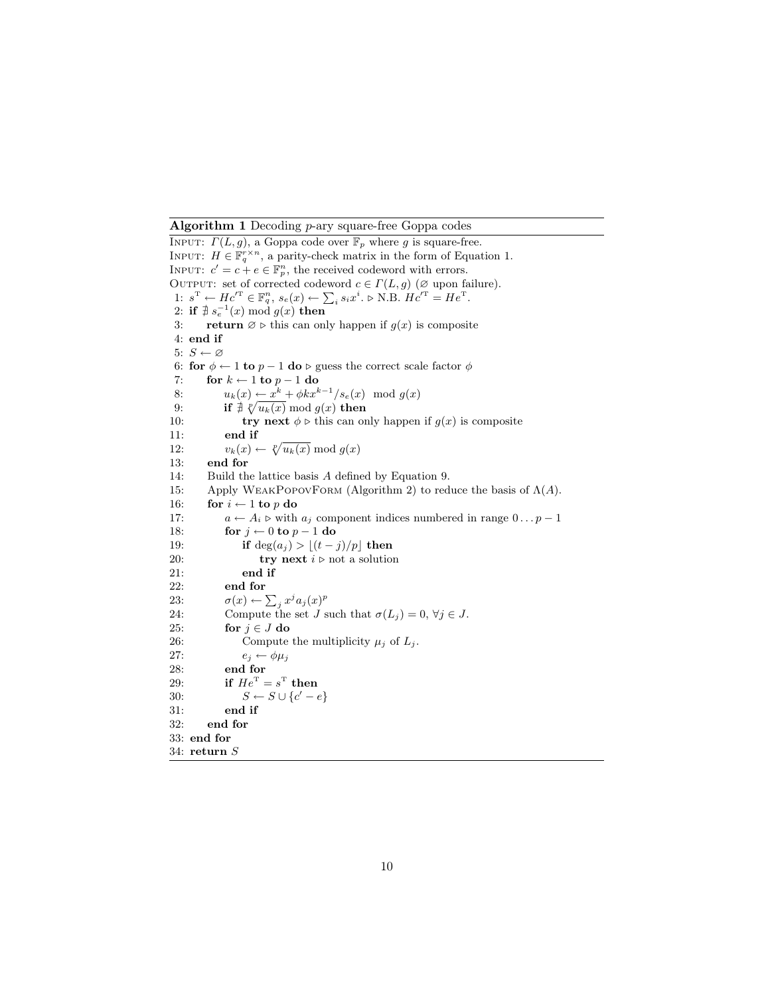#### Algorithm 1 Decoding p-ary square-free Goppa codes

INPUT:  $\Gamma(L, g)$ , a Goppa code over  $\mathbb{F}_p$  where g is square-free. INPUT:  $H \in \mathbb{F}_q^{r \times n}$ , a parity-check matrix in the form of Equation 1. INPUT:  $c' = c + e \in \mathbb{F}_p^n$ , the received codeword with errors. OUTPUT: set of corrected codeword  $c \in \Gamma(L, g)$  ( $\varnothing$  upon failure). 1:  $s^{\mathrm{T}} \leftarrow He'^{\mathrm{T}} \in \mathbb{F}_q^n$ ,  $s_e(x) \leftarrow \sum_i s_i x^i$ .  $\triangleright$  N.B.  $He'^{\mathrm{T}} = He^{\mathrm{T}}$ . 2: if  $\nexists s_e^{-1}(x) \bmod g(x)$  then 3: return  $\emptyset \triangleright$  this can only happen if  $g(x)$  is composite 4: end if 5:  $S \leftarrow \varnothing$ 6: for  $\phi \leftarrow 1$  to  $p - 1$  do  $\triangleright$  guess the correct scale factor  $\phi$ 7: for  $k \leftarrow 1$  to  $p - 1$  do 8:  $u_k(x) \leftarrow x^k + \phi k x^{k-1} / s_e(x) \mod g(x)$ 9: **if**  $\sharp \sqrt[p]{u_k(x)} \bmod g(x)$  then 10: **try next**  $\phi \triangleright$  this can only happen if  $g(x)$  is composite 11: end if 12:  $v_k(x) \leftarrow \sqrt[p]{u_k(x)} \mod g(x)$ 13: end for 14: Build the lattice basis A defined by Equation 9. 15: Apply WEAKPOPOVFORM (Algorithm 2) to reduce the basis of  $Λ(A)$ . 16: for  $i \leftarrow 1$  to p do 17:  $a \leftarrow A_i \triangleright \text{with } a_j \text{ component indices numbered in range } 0 \dots p - 1$ 18: for  $j \leftarrow 0$  to  $p - 1$  do 19: **if** deg $(a_j) > \lfloor (t - j)/p \rfloor$  then 20: **try next**  $i \triangleright$  not a solution 21: end if 22: end for 23:  $\sigma(x) \leftarrow \sum_j x^j a_j(x)^p$ 24: Compute the set J such that  $\sigma(L_j) = 0, \forall j \in J$ . 25: for  $j \in J$  do 26: Compute the multiplicity  $\mu_j$  of  $L_j$ . 27:  $e_j \leftarrow \phi \mu_j$ 28: end for 29: if  $He^{T} = s^{T}$  then 30:  $S \leftarrow S \cup \{c' - e\}$ 31: end if 32: end for 33: end for 34: return S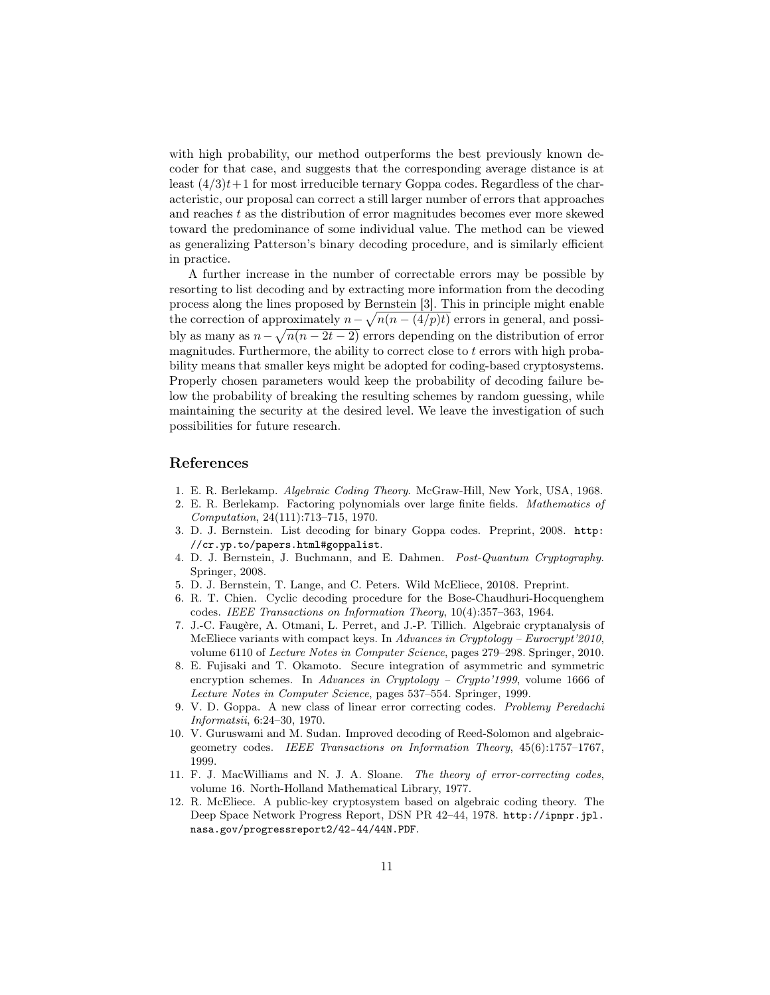with high probability, our method outperforms the best previously known decoder for that case, and suggests that the corresponding average distance is at least  $(4/3)t+1$  for most irreducible ternary Goppa codes. Regardless of the characteristic, our proposal can correct a still larger number of errors that approaches and reaches  $t$  as the distribution of error magnitudes becomes ever more skewed toward the predominance of some individual value. The method can be viewed as generalizing Patterson's binary decoding procedure, and is similarly efficient in practice.

A further increase in the number of correctable errors may be possible by resorting to list decoding and by extracting more information from the decoding process along the lines proposed by Bernstein [3]. This in principle might enable the correction of approximately  $n - \sqrt{n(n - (4/p)t)}$  errors in general, and possibly as many as  $n - \sqrt{n(n - 2t - 2)}$  errors depending on the distribution of error magnitudes. Furthermore, the ability to correct close to  $t$  errors with high probability means that smaller keys might be adopted for coding-based cryptosystems. Properly chosen parameters would keep the probability of decoding failure below the probability of breaking the resulting schemes by random guessing, while maintaining the security at the desired level. We leave the investigation of such possibilities for future research.

# References

- 1. E. R. Berlekamp. Algebraic Coding Theory. McGraw-Hill, New York, USA, 1968.
- 2. E. R. Berlekamp. Factoring polynomials over large finite fields. Mathematics of Computation, 24(111):713–715, 1970.
- 3. D. J. Bernstein. List decoding for binary Goppa codes. Preprint, 2008. http: //cr.yp.to/papers.html#goppalist.
- 4. D. J. Bernstein, J. Buchmann, and E. Dahmen. Post-Quantum Cryptography. Springer, 2008.
- 5. D. J. Bernstein, T. Lange, and C. Peters. Wild McEliece, 20108. Preprint.
- 6. R. T. Chien. Cyclic decoding procedure for the Bose-Chaudhuri-Hocquenghem codes. IEEE Transactions on Information Theory, 10(4):357–363, 1964.
- 7. J.-C. Faugère, A. Otmani, L. Perret, and J.-P. Tillich. Algebraic cryptanalysis of McEliece variants with compact keys. In Advances in Cryptology – Eurocrypt'2010, volume 6110 of Lecture Notes in Computer Science, pages 279–298. Springer, 2010.
- 8. E. Fujisaki and T. Okamoto. Secure integration of asymmetric and symmetric encryption schemes. In Advances in Cryptology – Crypto'1999, volume 1666 of Lecture Notes in Computer Science, pages 537–554. Springer, 1999.
- 9. V. D. Goppa. A new class of linear error correcting codes. Problemy Peredachi Informatsii, 6:24–30, 1970.
- 10. V. Guruswami and M. Sudan. Improved decoding of Reed-Solomon and algebraicgeometry codes. IEEE Transactions on Information Theory, 45(6):1757–1767, 1999.
- 11. F. J. MacWilliams and N. J. A. Sloane. The theory of error-correcting codes, volume 16. North-Holland Mathematical Library, 1977.
- 12. R. McEliece. A public-key cryptosystem based on algebraic coding theory. The Deep Space Network Progress Report, DSN PR 42–44, 1978. http://ipnpr.jpl. nasa.gov/progressreport2/42-44/44N.PDF.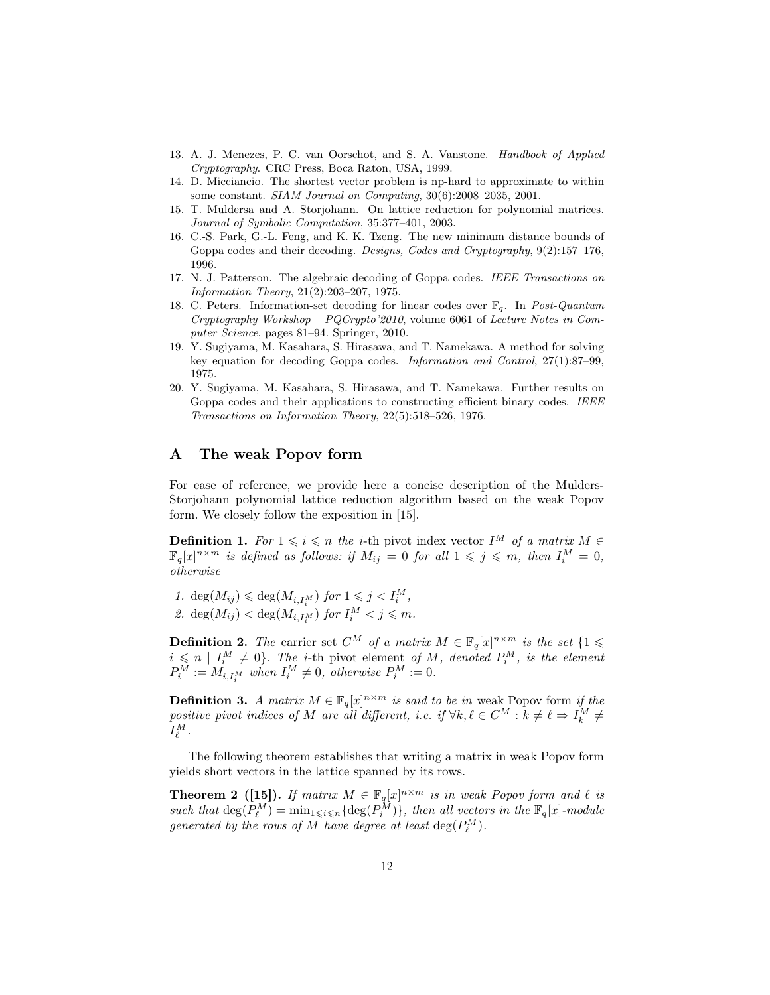- 13. A. J. Menezes, P. C. van Oorschot, and S. A. Vanstone. Handbook of Applied Cryptography. CRC Press, Boca Raton, USA, 1999.
- 14. D. Micciancio. The shortest vector problem is np-hard to approximate to within some constant. SIAM Journal on Computing, 30(6):2008–2035, 2001.
- 15. T. Muldersa and A. Storjohann. On lattice reduction for polynomial matrices. Journal of Symbolic Computation, 35:377–401, 2003.
- 16. C.-S. Park, G.-L. Feng, and K. K. Tzeng. The new minimum distance bounds of Goppa codes and their decoding. Designs, Codes and Cryptography, 9(2):157–176, 1996.
- 17. N. J. Patterson. The algebraic decoding of Goppa codes. IEEE Transactions on Information Theory, 21(2):203–207, 1975.
- 18. C. Peters. Information-set decoding for linear codes over  $\mathbb{F}_q$ . In Post-Quantum Cryptography Workshop – PQCrypto'2010, volume 6061 of Lecture Notes in Computer Science, pages 81–94. Springer, 2010.
- 19. Y. Sugiyama, M. Kasahara, S. Hirasawa, and T. Namekawa. A method for solving key equation for decoding Goppa codes. Information and Control, 27(1):87–99, 1975.
- 20. Y. Sugiyama, M. Kasahara, S. Hirasawa, and T. Namekawa. Further results on Goppa codes and their applications to constructing efficient binary codes. IEEE Transactions on Information Theory, 22(5):518–526, 1976.

# A The weak Popov form

For ease of reference, we provide here a concise description of the Mulders-Storjohann polynomial lattice reduction algorithm based on the weak Popov form. We closely follow the exposition in [15].

**Definition 1.** For  $1 \leq i \leq n$  the *i*-th pivot index vector  $I^M$  of a matrix  $M \in$  $\mathbb{F}_q[x]^{n \times m}$  is defined as follows: if  $M_{ij} = 0$  for all  $1 \leqslant j \leqslant m$ , then  $I_i^M = 0$ , otherwise

1.  $\deg(M_{ij}) \leq \deg(M_{i,I_i^M})$  for  $1 \leq j < I_i^M$ , 2.  $\deg(M_{ij}) < \deg(M_{i,I_i^M})$  for  $I_i^M < j \leq m$ .

**Definition 2.** The carrier set  $C^M$  of a matrix  $M \in \mathbb{F}_q[x]^{n \times m}$  is the set  $\{1 \leq$  $i \leq n \mid I_i^M \neq 0$ . The *i*-th pivot element of M, denoted  $P_i^M$ , is the element  $P_i^M := M_{i,I_i^M}$  when  $I_i^M \neq 0$ , otherwise  $P_i^M := 0$ .

**Definition 3.** A matrix  $M \in \mathbb{F}_q[x]^{n \times m}$  is said to be in weak Popov form if the positive pivot indices of M are all different, i.e. if  $\forall k, \ell \in C^M : k \neq \ell \Rightarrow I_k^M \neq I_k$  $I_\ell^M$  .

The following theorem establishes that writing a matrix in weak Popov form yields short vectors in the lattice spanned by its rows.

**Theorem 2** ([15]). If matrix  $M \in \mathbb{F}_q[x]^{n \times m}$  is in weak Popov form and  $\ell$  is such that  $\deg(P_{\ell}^M) = \min_{1 \leq i \leq n} \{ \deg(P_i^M) \},\$  then all vectors in the  $\mathbb{F}_q[x]$ -module generated by the rows of M have degree at least  $\deg(P_\ell^M)$ .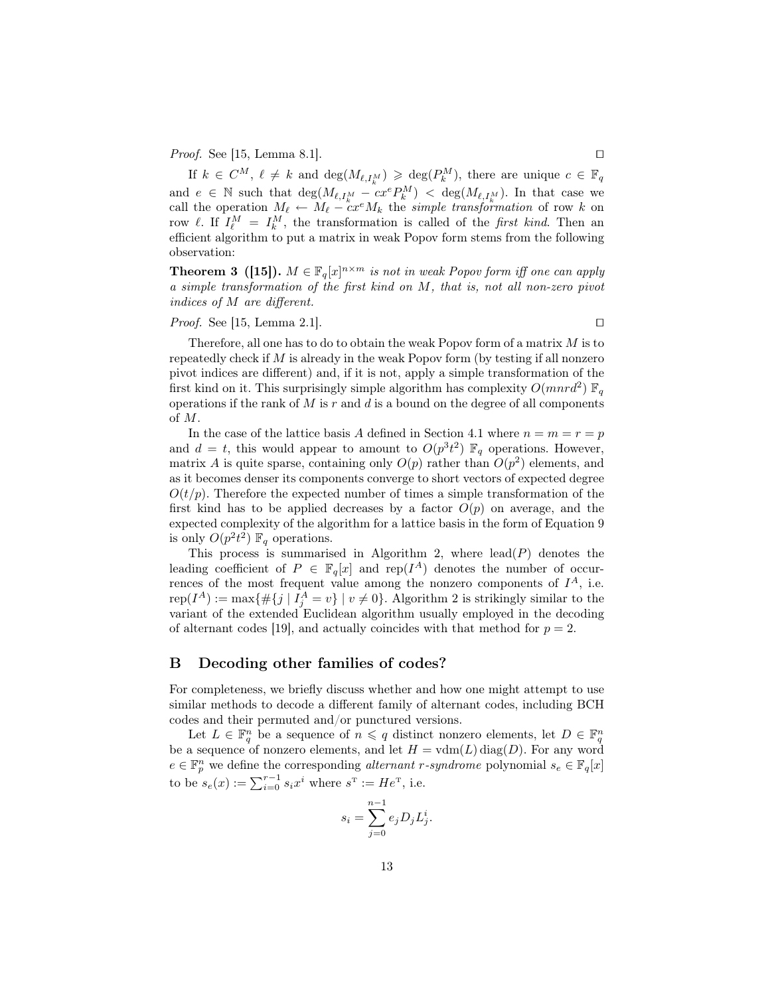*Proof.* See [15, Lemma 8.1].  $\square$ 

If  $k \in C^M$ ,  $\ell \neq k$  and  $\deg(M_{\ell,I_k^M}) \geqslant \deg(P_k^M)$ , there are unique  $c \in \mathbb{F}_q$ and  $e \in \mathbb{N}$  such that  $\deg(M_{\ell,I_k^M} - c x^e P_k^M) < \deg(M_{\ell,I_k^M})$ . In that case we call the operation  $M_{\ell} \leftarrow M_{\ell} - cx^{\epsilon}M_{k}$  the simple transformation of row k on row  $\ell$ . If  $I_{\ell}^M = I_k^M$ , the transformation is called of the *first kind*. Then an efficient algorithm to put a matrix in weak Popov form stems from the following observation:

**Theorem 3** ([15]).  $M \in \mathbb{F}_q[x]^{n \times m}$  is not in weak Popov form iff one can apply a simple transformation of the first kind on M, that is, not all non-zero pivot indices of M are different.

*Proof.* See [15, Lemma 2.1].

Therefore, all one has to do to obtain the weak Popov form of a matrix M is to repeatedly check if  $M$  is already in the weak Popov form (by testing if all nonzero pivot indices are different) and, if it is not, apply a simple transformation of the first kind on it. This surprisingly simple algorithm has complexity  $O(mnr<sup>2</sup>)$   $\mathbb{F}_q$ operations if the rank of  $M$  is  $r$  and  $d$  is a bound on the degree of all components of M.

In the case of the lattice basis A defined in Section 4.1 where  $n = m = r = p$ and  $d = t$ , this would appear to amount to  $O(p^3 t^2) \mathbb{F}_q$  operations. However, matrix A is quite sparse, containing only  $O(p)$  rather than  $O(p^2)$  elements, and as it becomes denser its components converge to short vectors of expected degree  $O(t/p)$ . Therefore the expected number of times a simple transformation of the first kind has to be applied decreases by a factor  $O(p)$  on average, and the expected complexity of the algorithm for a lattice basis in the form of Equation 9 is only  $O(p^2t^2)$   $\mathbb{F}_q$  operations.

This process is summarised in Algorithm 2, where  $lead(P)$  denotes the leading coefficient of  $P \in \mathbb{F}_q[x]$  and rep( $I^A$ ) denotes the number of occurrences of the most frequent value among the nonzero components of  $I^A$ , i.e.  $\text{rep}(I^A) := \max\{\#\{j \mid I^A_j = v\} \mid v \neq 0\}.$  Algorithm 2 is strikingly similar to the variant of the extended Euclidean algorithm usually employed in the decoding of alternant codes [19], and actually coincides with that method for  $p = 2$ .

### B Decoding other families of codes?

For completeness, we briefly discuss whether and how one might attempt to use similar methods to decode a different family of alternant codes, including BCH codes and their permuted and/or punctured versions.

Let  $L \in \mathbb{F}_q^n$  be a sequence of  $n \leqslant q$  distinct nonzero elements, let  $D \in \mathbb{F}_q^n$ be a sequence of nonzero elements, and let  $H = \text{vdm}(L) \text{diag}(D)$ . For any word  $e \in \mathbb{F}_p^n$  we define the corresponding *alternant r-syndrome* polynomial  $s_e \in \mathbb{F}_q[x]$ to be  $s_e(x) := \sum_{i=0}^{r-1} s_i x^i$  where  $s^{\text{T}} := He^{\text{T}}$ , i.e.

$$
s_i = \sum_{j=0}^{n-1} e_j D_j L_j^i.
$$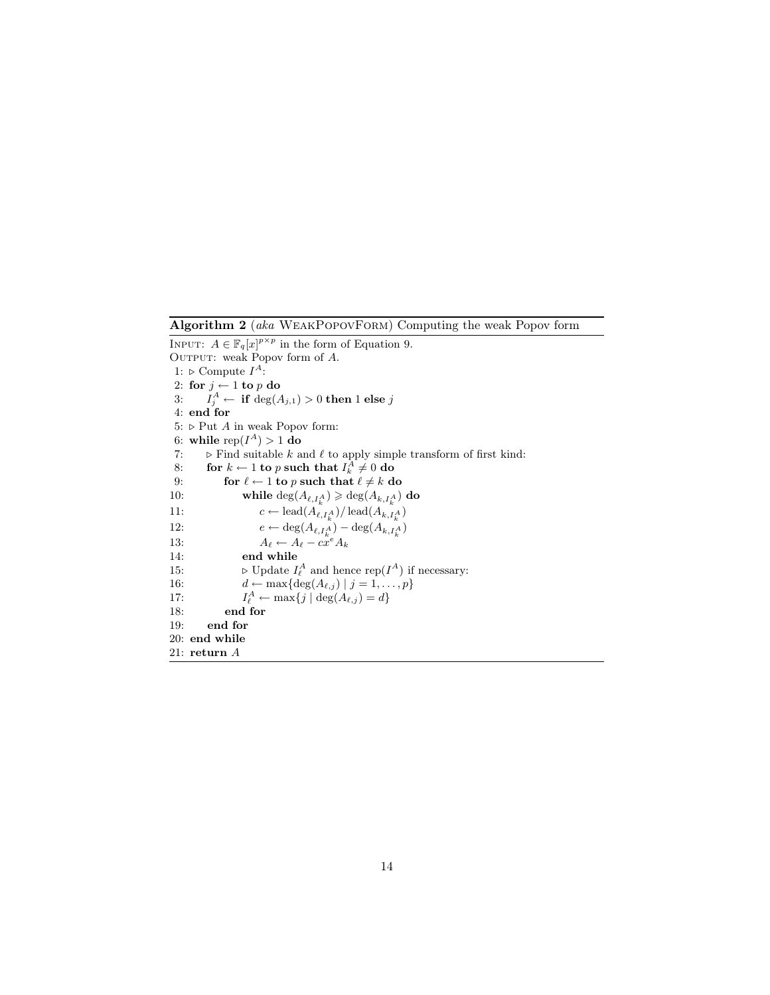Algorithm 2 (aka WeakPopovForm) Computing the weak Popov form

INPUT:  $A \in \mathbb{F}_q[x]^{p \times p}$  in the form of Equation 9. OUTPUT: weak Popov form of  $A$ . 1:  $\triangleright$  Compute  $I^A$ : 2: for  $j \leftarrow 1$  to  $p$  do 3:  $I_j^A \leftarrow \textbf{if } \deg(A_{j,1}) > 0 \textbf{ then } 1 \textbf{ else } j$ 4: end for 5:  $\triangleright$  Put A in weak Popov form: 6: while  $\operatorname{rep}(I^A) > 1$  do 7:  $\triangleright$  Find suitable  $k$  and  $\ell$  to apply simple transform of first kind: 8: for  $k \leftarrow 1$  to p such that  $I_k^A \neq 0$  do 9: for  $\ell \leftarrow 1$  to p such that  $\ell \neq k$  do 10: while  $\deg(A_{\ell,I_n^A}) \geq \deg(A_{k,I_n^A})$  do 11:  $c \leftarrow \text{lead}(A_{\ell,I_k^A}) / \text{lead}(A_{k,I_k^A})$ 12:  $e \leftarrow \deg(A_{\ell,I_k^A}) - \deg(A_{k,I_k^A})$ 13:  $A_{\ell} \leftarrow A_{\ell} - c\overset{\kappa}{x}^{e}A_{k}$ 14: end while 15:  $\triangleright$  Update  $I_{\ell}^A$  and hence rep( $I^A$ ) if necessary: 16:  $d \leftarrow \max\{\deg(A_{\ell,j}) | j = 1, \ldots, p\}$  $17:$  $\mathcal{A}_{\ell}^A \leftarrow \max\{j \mid \deg(A_{\ell,j}) = d\}$ 18: end for 19: end for 20: end while 21: return A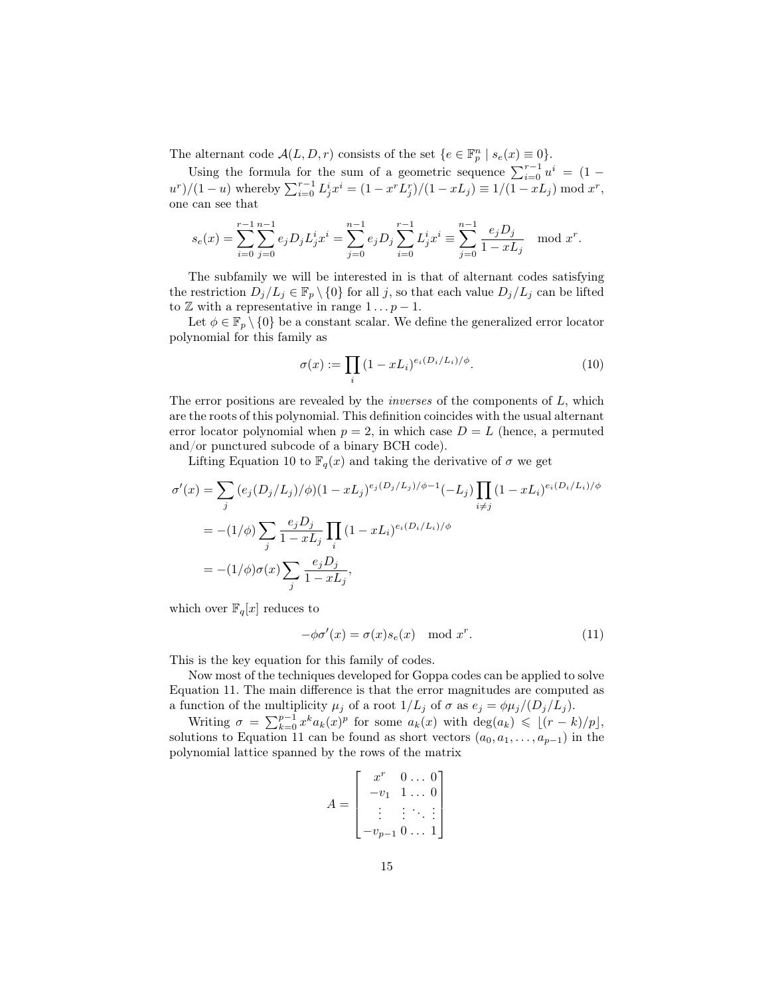The alternant code  $\mathcal{A}(L, D, r)$  consists of the set  $\{e \in \mathbb{F}_p^n \mid s_e(x) \equiv 0\}.$ 

Using the formula for the sum of a geometric sequence  $\sum_{i=0}^{r-1} u^i = (1$  $u^{r}/(1-u)$  whereby  $\sum_{i=0}^{r-1} L_{j}^{i} x^{i} = (1 - x^{r} L_{j}^{r})/(1 - x L_{j}) \equiv 1/(1 - x L_{j}) \mod x^{r}$ , one can see that

$$
s_e(x) = \sum_{i=0}^{r-1} \sum_{j=0}^{n-1} e_j D_j L_j^i x^i = \sum_{j=0}^{n-1} e_j D_j \sum_{i=0}^{r-1} L_j^i x^i \equiv \sum_{j=0}^{n-1} \frac{e_j D_j}{1 - x L_j} \mod x^r.
$$

The subfamily we will be interested in is that of alternant codes satisfying the restriction  $D_j/L_j \in \mathbb{F}_p \setminus \{0\}$  for all j, so that each value  $D_j/L_j$  can be lifted to  $\mathbb Z$  with a representative in range  $1 \dots p - 1$ .

Let  $\phi \in \mathbb{F}_p \setminus \{0\}$  be a constant scalar. We define the generalized error locator polynomial for this family as

$$
\sigma(x) := \prod_i (1 - x L_i)^{e_i(D_i/L_i)/\phi}.
$$
\n(10)

The error positions are revealed by the *inverses* of the components of  $L$ , which are the roots of this polynomial. This definition coincides with the usual alternant error locator polynomial when  $p = 2$ , in which case  $D = L$  (hence, a permuted and/or punctured subcode of a binary BCH code).

Lifting Equation 10 to  $\mathbb{F}_q(x)$  and taking the derivative of  $\sigma$  we get

$$
\sigma'(x) = \sum_{j} (e_j(D_j/L_j)/\phi)(1 - xL_j)^{e_j(D_j/L_j)/\phi - 1}(-L_j) \prod_{i \neq j} (1 - xL_i)^{e_i(D_i/L_i)/\phi}
$$
  
= 
$$
-(1/\phi) \sum_{j} \frac{e_j D_j}{1 - xL_j} \prod_{i} (1 - xL_i)^{e_i(D_i/L_i)/\phi}
$$
  
= 
$$
-(1/\phi)\sigma(x) \sum_{j} \frac{e_j D_j}{1 - xL_j},
$$

which over  $\mathbb{F}_q[x]$  reduces to

$$
-\phi \sigma'(x) = \sigma(x) s_e(x) \mod x^r.
$$
 (11)

This is the key equation for this family of codes.

Now most of the techniques developed for Goppa codes can be applied to solve Equation 11. The main difference is that the error magnitudes are computed as a function of the multiplicity  $\mu_j$  of a root  $1/L_j$  of  $\sigma$  as  $e_j = \phi \mu_j/(D_j/L_j)$ .

Writing  $\sigma = \sum_{k=0}^{p-1} x^k a_k(x)^p$  for some  $a_k(x)$  with  $\deg(a_k) \leq (r-k)/p,$ solutions to Equation 11 can be found as short vectors  $(a_0, a_1, \ldots, a_{p-1})$  in the polynomial lattice spanned by the rows of the matrix

$$
A = \begin{bmatrix} x^r & 0 & \dots & 0 \\ -v_1 & 1 & \dots & 0 \\ \vdots & \vdots & \ddots & \vdots \\ -v_{p-1} & 0 & \dots & 1 \end{bmatrix}
$$